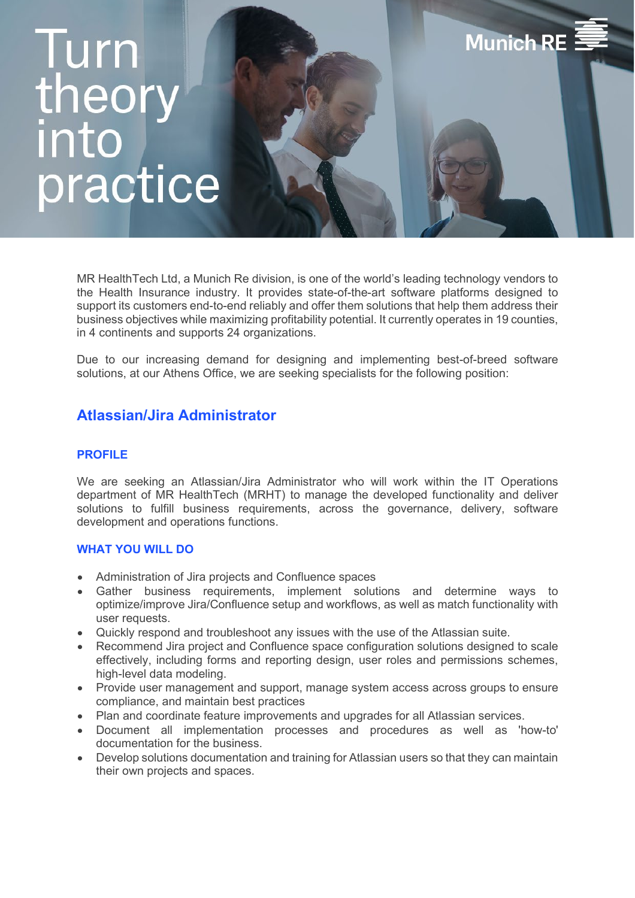# Turn theor<br>into practice

MR HealthTech Ltd, a Munich Re division, is one of the world's leading technology vendors to the Health Insurance industry. It provides state-of-the-art software platforms designed to support its customers end-to-end reliably and offer them solutions that help them address their business objectives while maximizing profitability potential. It currently operates in 19 counties, in 4 continents and supports 24 organizations.

**Munich RE** 

Due to our increasing demand for designing and implementing best-of-breed software solutions, at our Athens Office, we are seeking specialists for the following position:

# **Atlassian/Jira Administrator**

# **PROFILE**

We are seeking an Atlassian/Jira Administrator who will work within the IT Operations department of MR HealthTech (MRHT) to manage the developed functionality and deliver solutions to fulfill business requirements, across the governance, delivery, software development and operations functions.

### **WHAT YOU WILL DO**

- Administration of Jira projects and Confluence spaces
- Gather business requirements, implement solutions and determine ways to optimize/improve Jira/Confluence setup and workflows, as well as match functionality with user requests.
- Quickly respond and troubleshoot any issues with the use of the Atlassian suite.
- Recommend Jira project and Confluence space configuration solutions designed to scale effectively, including forms and reporting design, user roles and permissions schemes, high-level data modeling.
- Provide user management and support, manage system access across groups to ensure compliance, and maintain best practices
- Plan and coordinate feature improvements and upgrades for all Atlassian services.
- Document all implementation processes and procedures as well as 'how-to' documentation for the business.
- Develop solutions documentation and training for Atlassian users so that they can maintain their own projects and spaces.